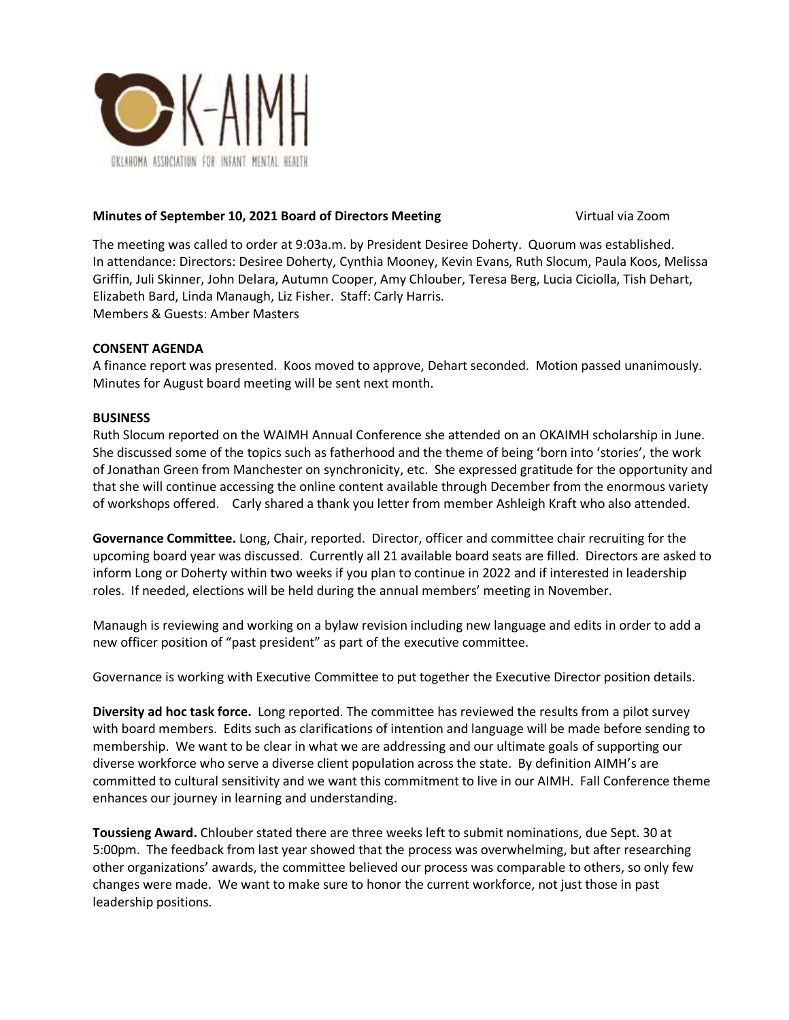

## **Minutes of September 10, 2021 Board of Directors Meeting <b>Virtual via Zoom** Virtual via Zoom

The meeting was called to order at 9:03a.m. by President Desiree Doherty. Quorum was established. In attendance: Directors: Desiree Doherty, Cynthia Mooney, Kevin Evans, Ruth Slocum, Paula Koos, Melissa Griffin, Juli Skinner, John Delara, Autumn Cooper, Amy Chlouber, Teresa Berg, Lucia Ciciolla, Tish Dehart, Elizabeth Bard, Linda Manaugh, Liz Fisher. Staff: Carly Harris. Members & Guests: Amber Masters

## **CONSENT AGENDA**

A finance report was presented. Koos moved to approve, Dehart seconded. Motion passed unanimously. Minutes for August board meeting will be sent next month.

## **BUSINESS**

Ruth Slocum reported on the WAIMH Annual Conference she attended on an OKAIMH scholarship in June. She discussed some of the topics such as fatherhood and the theme of being 'born into 'stories', the work of Jonathan Green from Manchester on synchronicity, etc. She expressed gratitude for the opportunity and that she will continue accessing the online content available through December from the enormous variety of workshops offered. Carly shared a thank you letter from member Ashleigh Kraft who also attended.

**Governance Committee.** Long, Chair, reported. Director, officer and committee chair recruiting for the upcoming board year was discussed. Currently all 21 available board seats are filled. Directors are asked to inform Long or Doherty within two weeks if you plan to continue in 2022 and if interested in leadership roles. If needed, elections will be held during the annual members' meeting in November.

Manaugh is reviewing and working on a bylaw revision including new language and edits in order to add a new officer position of "past president" as part of the executive committee.

Governance is working with Executive Committee to put together the Executive Director position details.

**Diversity ad hoc task force.** Long reported. The committee has reviewed the results from a pilot survey with board members. Edits such as clarifications of intention and language will be made before sending to membership. We want to be clear in what we are addressing and our ultimate goals of supporting our diverse workforce who serve a diverse client population across the state. By definition AIMH's are committed to cultural sensitivity and we want this commitment to live in our AIMH. Fall Conference theme enhances our journey in learning and understanding.

**Toussieng Award.** Chlouber stated there are three weeks left to submit nominations, due Sept. 30 at 5:00pm. The feedback from last year showed that the process was overwhelming, but after researching other organizations' awards, the committee believed our process was comparable to others, so only few changes were made. We want to make sure to honor the current workforce, not just those in past leadership positions.